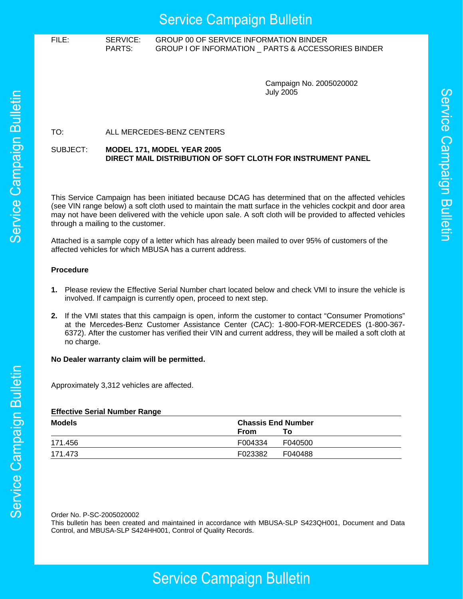## **Service Campaign Bulletin**

### FILE: SERVICE: GROUP 00 OF SERVICE INFORMATION BINDER PARTS: GROUP I OF INFORMATION \_ PARTS & ACCESSORIES BINDER

Campaign No. 2005020002 July 2005

### TO: ALL MERCEDES-BENZ CENTERS

### SUBJECT: **MODEL 171, MODEL YEAR 2005 DIRECT MAIL DISTRIBUTION OF SOFT CLOTH FOR INSTRUMENT PANEL**

This Service Campaign has been initiated because DCAG has determined that on the affected vehicles (see VIN range below) a soft cloth used to maintain the matt surface in the vehicles cockpit and door area may not have been delivered with the vehicle upon sale. A soft cloth will be provided to affected vehicles through a mailing to the customer.

Attached is a sample copy of a letter which has already been mailed to over 95% of customers of the affected vehicles for which MBUSA has a current address.

### **Procedure**

- **1.** Please review the Effective Serial Number chart located below and check VMI to insure the vehicle is involved. If campaign is currently open, proceed to next step.
- **2.** If the VMI states that this campaign is open, inform the customer to contact "Consumer Promotions" at the Mercedes-Benz Customer Assistance Center (CAC): 1-800-FOR-MERCEDES (1-800-367- 6372). After the customer has verified their VIN and current address, they will be mailed a soft cloth at no charge.

### **No Dealer warranty claim will be permitted.**

Approximately 3,312 vehicles are affected.

### **Effective Serial Number Range**

| <b>Models</b> | <b>Chassis End Number</b> |         |
|---------------|---------------------------|---------|
|               | <b>From</b>               | To:     |
| 171.456       | F004334                   | F040500 |
| 171.473       | F023382                   | F040488 |

Order No. P-SC-2005020002

This bulletin has been created and maintained in accordance with MBUSA-SLP S423QH001, Document and Data Control, and MBUSA-SLP S424HH001, Control of Quality Records.

# Service Campaign Bulletin

# Service Campaign Bulletin

## **Service Campaign Bulletin**